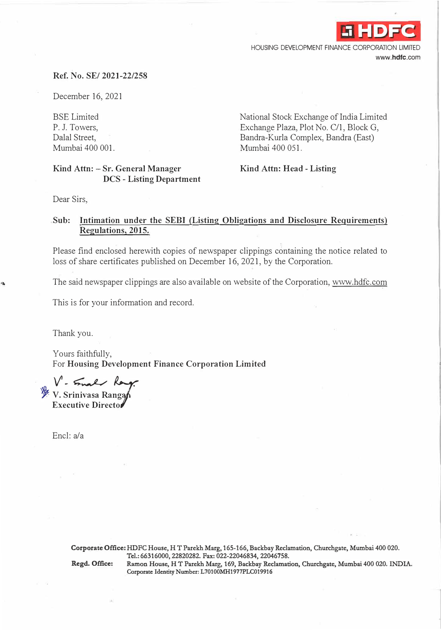

HOUSING DEVELOPMENT FINANCE CORPORATION LIMITED **www.hdfc.com** 

## **Ref. No. SE/ 2021-22/258**

December 16, 2021

BSE Limited P. J. Towers, Dalal Street, Mumbai 400 001.

## **Kind Attn: - Sr. General Manager DCS - Listing Department**

National Stock Exchange of India Limited Exchange Plaza, Plot No. C/1, Block G, Bandra-Kurla Complex, Bandra (East) Mumbai 400 051.

**Kind Attn: Head - Listing** 

Dear Sirs,

## **Sub: Intimation under the SEBI {Listing Obligations and Disclosure Requirements) Regulations, 2015.**

Please find enclosed herewith copies of newspaper clippings containing the notice related to loss of share certificates published on December 16, 2021, by the Corporation.

The said newspaper clippings are also available on website of the Corporation, www.hdfc.com

This is for your information and record.

Thank you.

Yours faithfully, For **Housing Development Finance Corporation Limited** 

*. V'-��d* **� V. Srinivasa Rang** 

**Executive Directo** 

Encl: a/a

**Corporate Office: HDFC House, HT Parekh Marg, 165-166, Backbay Reclamation, Churchgate, Mumbai 400 020. Tel.: 66316000, 22820282. Fax: 022�22046834, 22046758.** 

**Regd. Office: Ramon House, HT Parekh Marg, 169, Backbay Reclamation, Churchgate, Mumbai 400 020. INDIA.**  Corporate Identity Number: L70100MH1977PLC019916